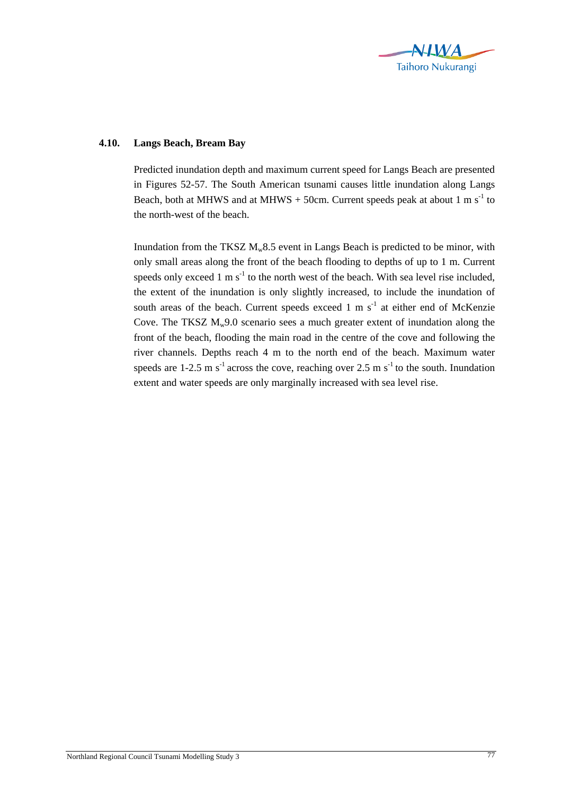

## **4.10. Langs Beach, Bream Bay**

Predicted inundation depth and maximum current speed for Langs Beach are presented in Figures 52-57. The South American tsunami causes little inundation along Langs Beach, both at MHWS and at MHWS + 50cm. Current speeds peak at about 1 m s<sup>-1</sup> to the north-west of the beach.

Inundation from the TKSZ  $M_w 8.5$  event in Langs Beach is predicted to be minor, with only small areas along the front of the beach flooding to depths of up to 1 m. Current speeds only exceed 1 m  $s^{-1}$  to the north west of the beach. With sea level rise included, the extent of the inundation is only slightly increased, to include the inundation of south areas of the beach. Current speeds exceed  $1 \text{ m s}^{-1}$  at either end of McKenzie Cove. The TKSZ  $M_w$ 9.0 scenario sees a much greater extent of inundation along the front of the beach, flooding the main road in the centre of the cove and following the river channels. Depths reach 4 m to the north end of the beach. Maximum water speeds are 1-2.5 m s<sup>-1</sup> across the cove, reaching over 2.5 m s<sup>-1</sup> to the south. Inundation extent and water speeds are only marginally increased with sea level rise.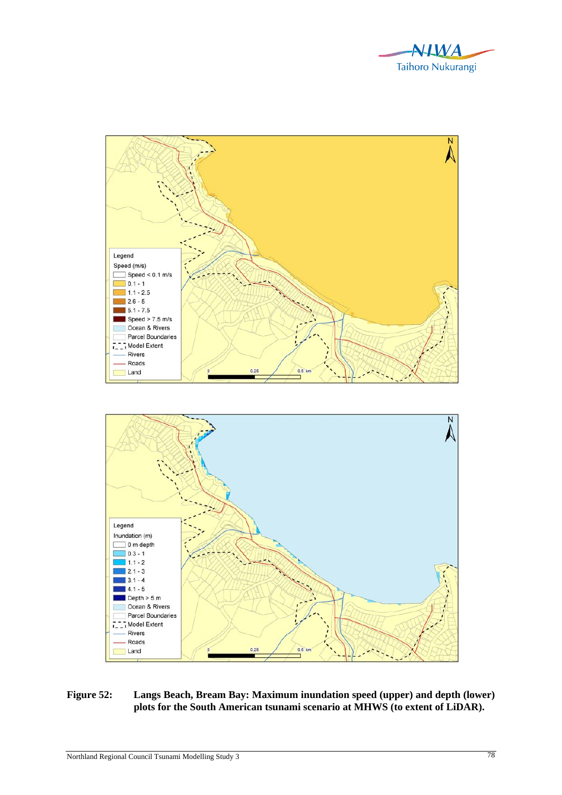



## **Figure 52: Langs Beach, Bream Bay: Maximum inundation speed (upper) and depth (lower) plots for the South American tsunami scenario at MHWS (to extent of LiDAR).**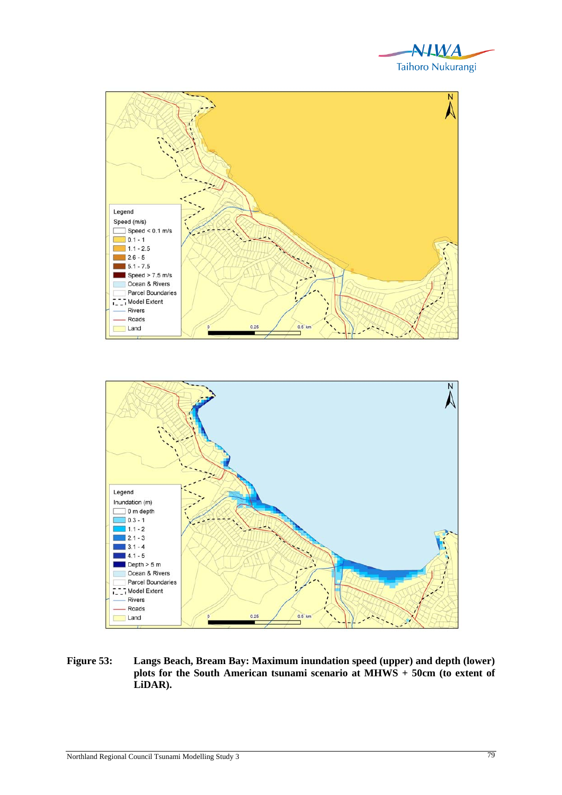





**Figure 53: Langs Beach, Bream Bay: Maximum inundation speed (upper) and depth (lower) plots for the South American tsunami scenario at MHWS + 50cm (to extent of LiDAR).**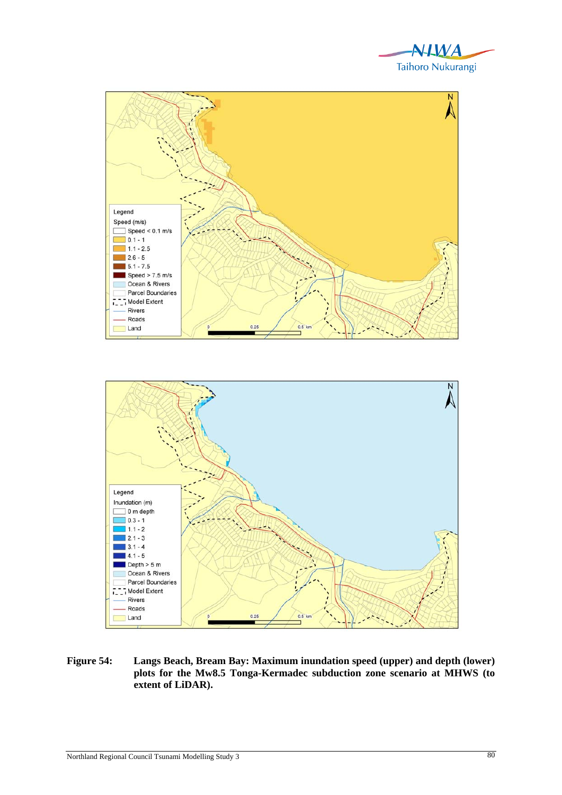





**Figure 54: Langs Beach, Bream Bay: Maximum inundation speed (upper) and depth (lower) plots for the Mw8.5 Tonga-Kermadec subduction zone scenario at MHWS (to extent of LiDAR).**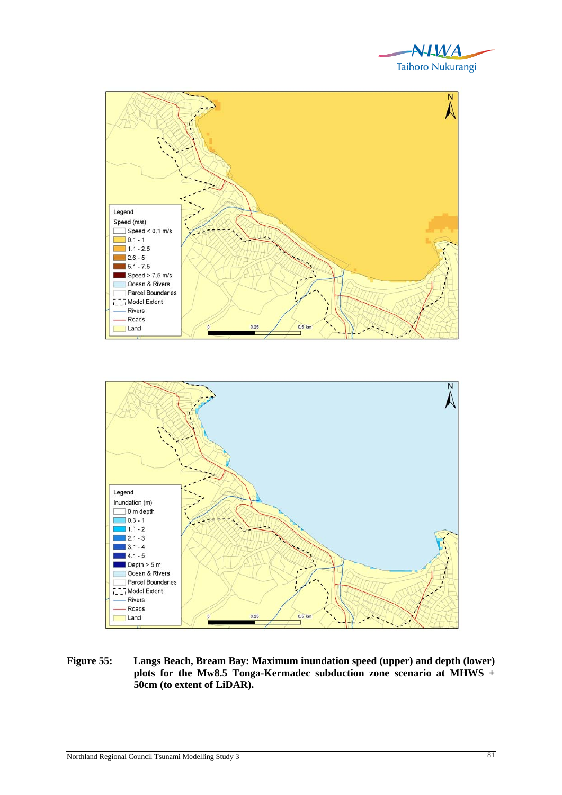





**Figure 55: Langs Beach, Bream Bay: Maximum inundation speed (upper) and depth (lower) plots for the Mw8.5 Tonga-Kermadec subduction zone scenario at MHWS + 50cm (to extent of LiDAR).**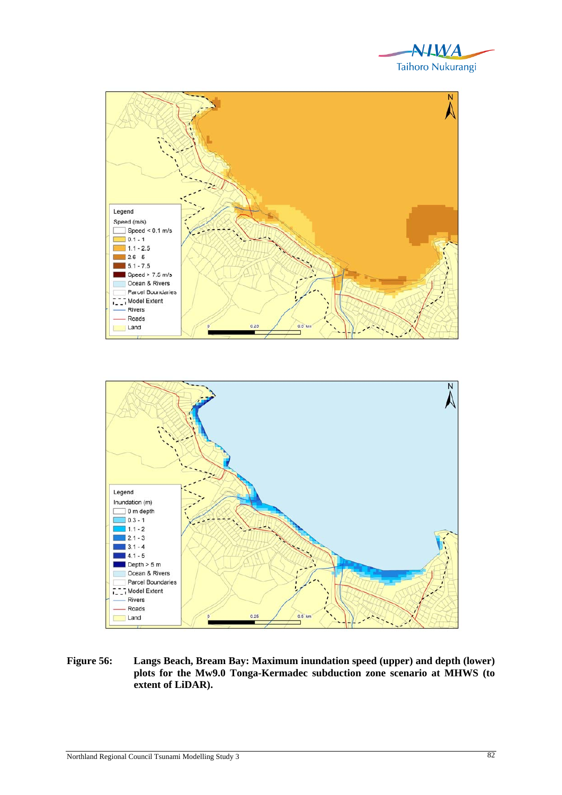





**Figure 56: Langs Beach, Bream Bay: Maximum inundation speed (upper) and depth (lower) plots for the Mw9.0 Tonga-Kermadec subduction zone scenario at MHWS (to extent of LiDAR).**